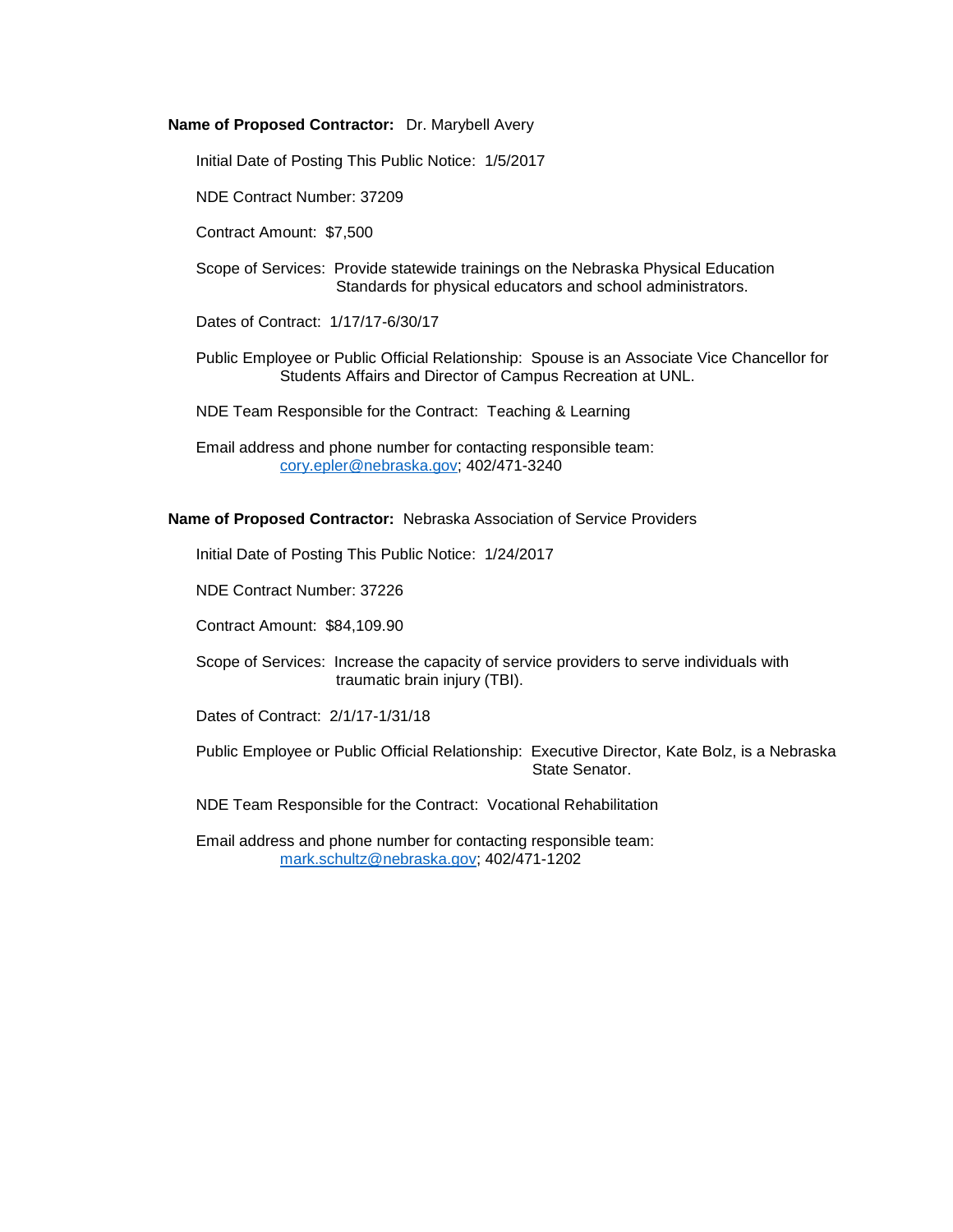#### **Name of Proposed Contractor:** Dr. Marybell Avery

Initial Date of Posting This Public Notice: 1/5/2017

NDE Contract Number: 37209

Contract Amount: \$7,500

Scope of Services: Provide statewide trainings on the Nebraska Physical Education Standards for physical educators and school administrators.

Dates of Contract: 1/17/17-6/30/17

Public Employee or Public Official Relationship: Spouse is an Associate Vice Chancellor for Students Affairs and Director of Campus Recreation at UNL.

NDE Team Responsible for the Contract: Teaching & Learning

Email address and phone number for contacting responsible team: [cory.epler@nebraska.gov;](mailto:cory.epler@nebraska.gov) 402/471-3240

**Name of Proposed Contractor:** Nebraska Association of Service Providers

Initial Date of Posting This Public Notice: 1/24/2017

NDE Contract Number: 37226

Contract Amount: \$84,109.90

Scope of Services: Increase the capacity of service providers to serve individuals with traumatic brain injury (TBI).

Dates of Contract: 2/1/17-1/31/18

Public Employee or Public Official Relationship: Executive Director, Kate Bolz, is a Nebraska State Senator.

NDE Team Responsible for the Contract: Vocational Rehabilitation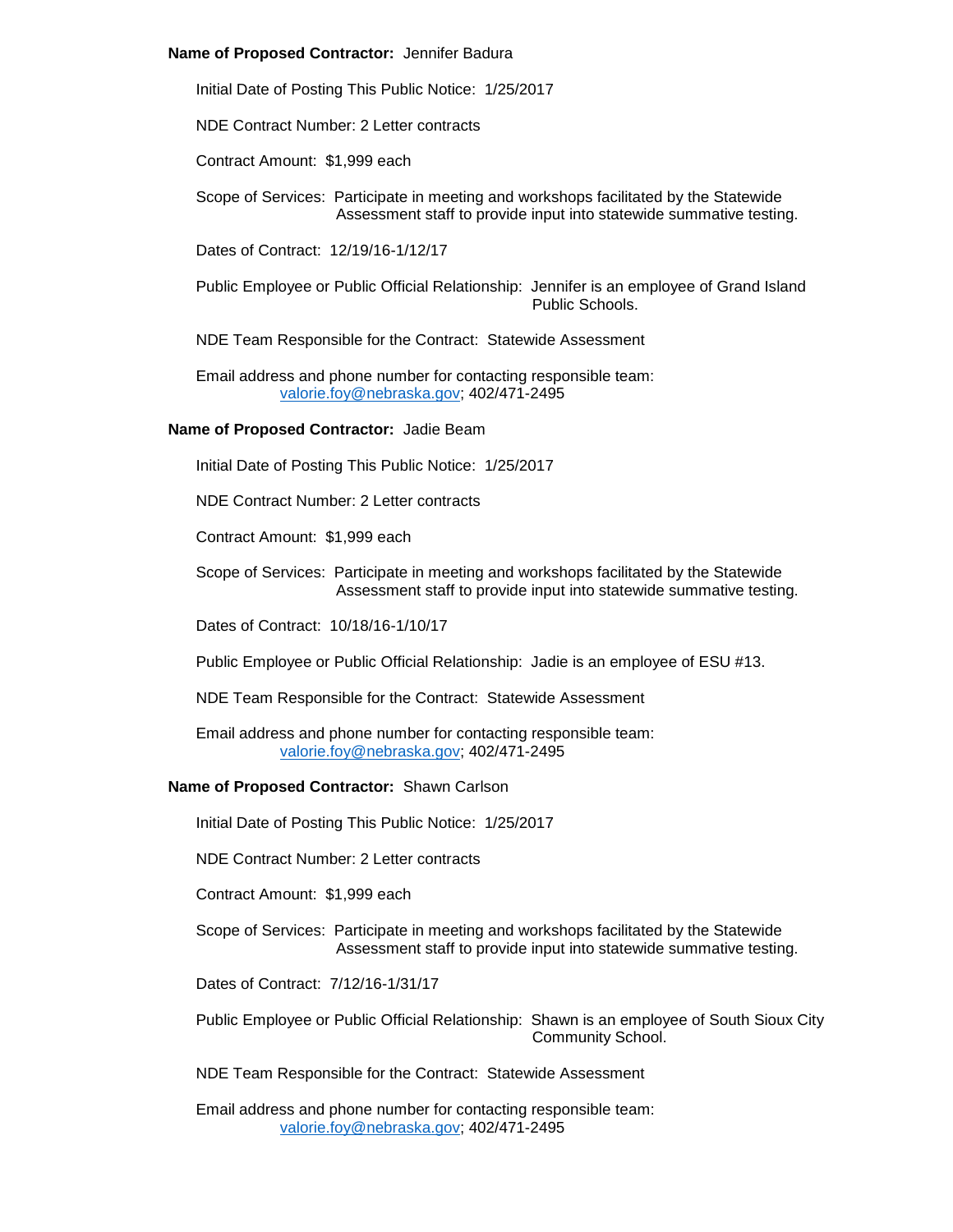#### **Name of Proposed Contractor:** Jennifer Badura

Initial Date of Posting This Public Notice: 1/25/2017

NDE Contract Number: 2 Letter contracts

Contract Amount: \$1,999 each

Scope of Services: Participate in meeting and workshops facilitated by the Statewide Assessment staff to provide input into statewide summative testing.

Dates of Contract: 12/19/16-1/12/17

Public Employee or Public Official Relationship: Jennifer is an employee of Grand Island Public Schools.

NDE Team Responsible for the Contract: Statewide Assessment

Email address and phone number for contacting responsible team: [valorie.foy@nebraska.gov;](mailto:valorie.foy@nebraska.gov) 402/471-2495

## **Name of Proposed Contractor:** Jadie Beam

Initial Date of Posting This Public Notice: 1/25/2017

NDE Contract Number: 2 Letter contracts

Contract Amount: \$1,999 each

Scope of Services: Participate in meeting and workshops facilitated by the Statewide Assessment staff to provide input into statewide summative testing.

Dates of Contract: 10/18/16-1/10/17

- Public Employee or Public Official Relationship: Jadie is an employee of ESU #13.
- NDE Team Responsible for the Contract: Statewide Assessment
- Email address and phone number for contacting responsible team: [valorie.foy@nebraska.gov;](mailto:valorie.foy@nebraska.gov) 402/471-2495

# **Name of Proposed Contractor:** Shawn Carlson

Initial Date of Posting This Public Notice: 1/25/2017

NDE Contract Number: 2 Letter contracts

Contract Amount: \$1,999 each

Scope of Services: Participate in meeting and workshops facilitated by the Statewide Assessment staff to provide input into statewide summative testing.

Dates of Contract: 7/12/16-1/31/17

Public Employee or Public Official Relationship: Shawn is an employee of South Sioux City Community School.

NDE Team Responsible for the Contract: Statewide Assessment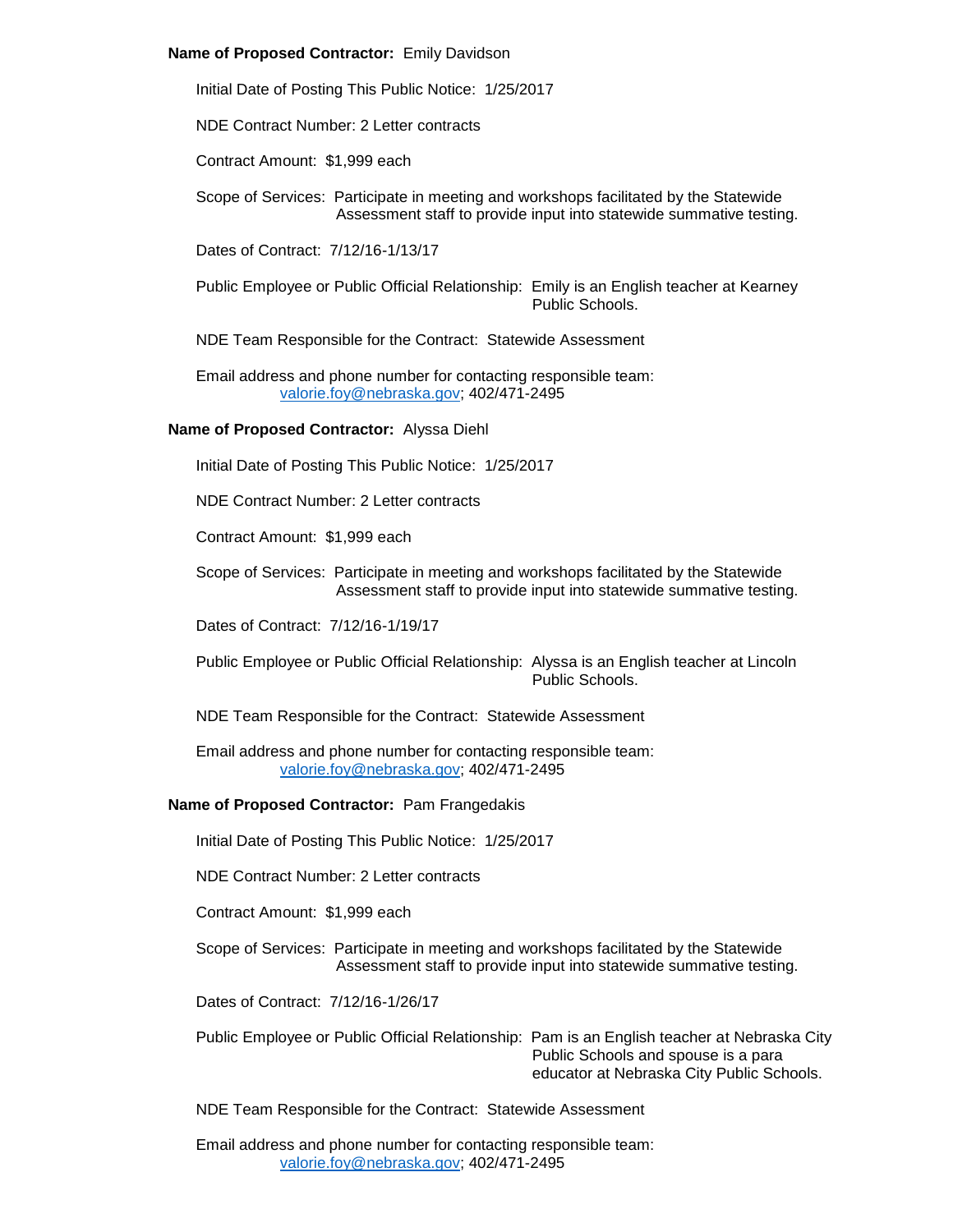## **Name of Proposed Contractor:** Emily Davidson

Initial Date of Posting This Public Notice: 1/25/2017

NDE Contract Number: 2 Letter contracts

Contract Amount: \$1,999 each

Scope of Services: Participate in meeting and workshops facilitated by the Statewide Assessment staff to provide input into statewide summative testing.

Dates of Contract: 7/12/16-1/13/17

Public Employee or Public Official Relationship: Emily is an English teacher at Kearney Public Schools.

NDE Team Responsible for the Contract: Statewide Assessment

Email address and phone number for contacting responsible team: [valorie.foy@nebraska.gov;](mailto:valorie.foy@nebraska.gov) 402/471-2495

## **Name of Proposed Contractor:** Alyssa Diehl

Initial Date of Posting This Public Notice: 1/25/2017

NDE Contract Number: 2 Letter contracts

Contract Amount: \$1,999 each

Scope of Services: Participate in meeting and workshops facilitated by the Statewide Assessment staff to provide input into statewide summative testing.

Dates of Contract: 7/12/16-1/19/17

- Public Employee or Public Official Relationship: Alyssa is an English teacher at Lincoln Public Schools.
- NDE Team Responsible for the Contract: Statewide Assessment

Email address and phone number for contacting responsible team: [valorie.foy@nebraska.gov;](mailto:valorie.foy@nebraska.gov) 402/471-2495

#### **Name of Proposed Contractor:** Pam Frangedakis

Initial Date of Posting This Public Notice: 1/25/2017

NDE Contract Number: 2 Letter contracts

Contract Amount: \$1,999 each

Scope of Services: Participate in meeting and workshops facilitated by the Statewide Assessment staff to provide input into statewide summative testing.

Dates of Contract: 7/12/16-1/26/17

Public Employee or Public Official Relationship: Pam is an English teacher at Nebraska City Public Schools and spouse is a para educator at Nebraska City Public Schools.

NDE Team Responsible for the Contract: Statewide Assessment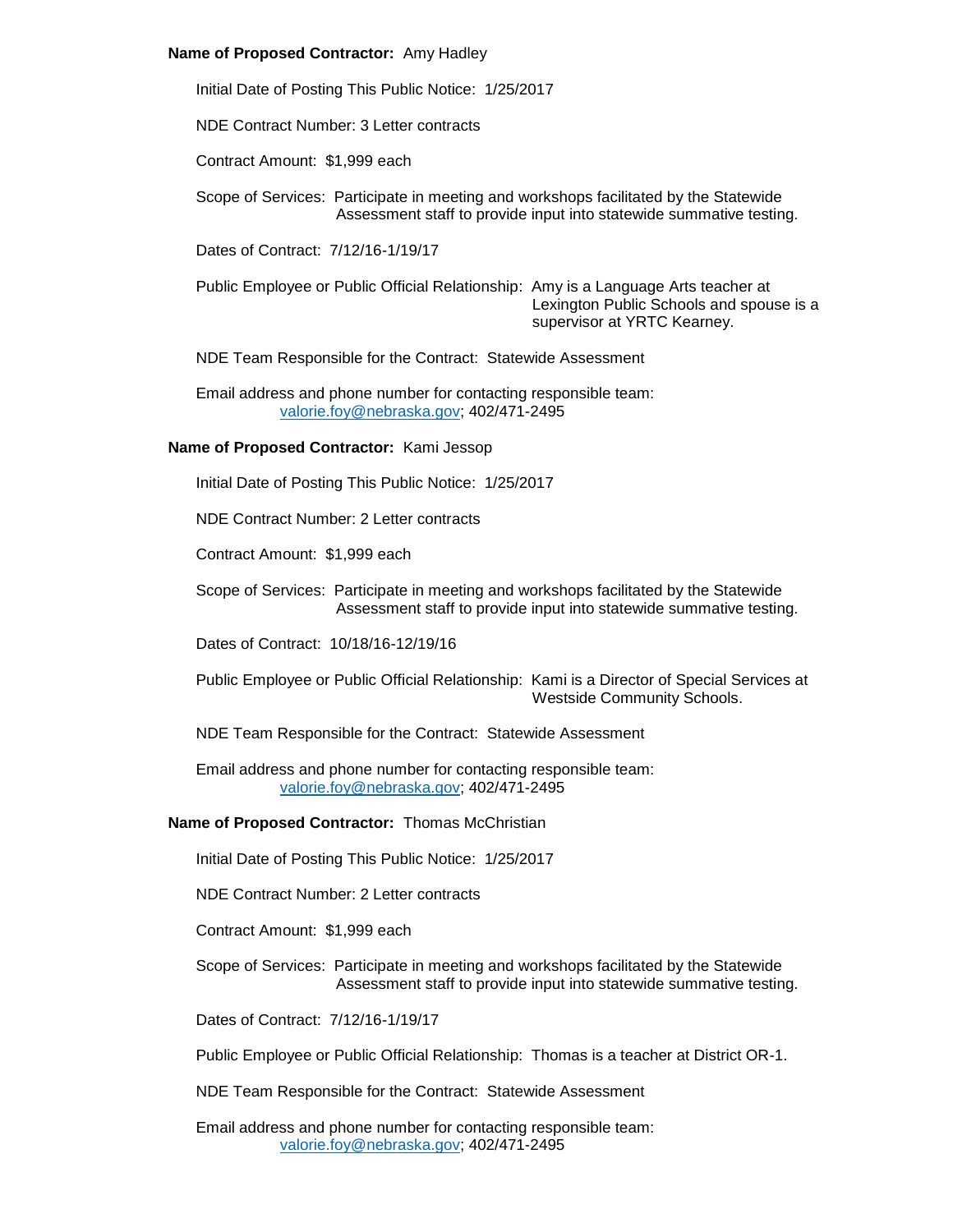## **Name of Proposed Contractor:** Amy Hadley

Initial Date of Posting This Public Notice: 1/25/2017

NDE Contract Number: 3 Letter contracts

Contract Amount: \$1,999 each

Scope of Services: Participate in meeting and workshops facilitated by the Statewide Assessment staff to provide input into statewide summative testing.

Dates of Contract: 7/12/16-1/19/17

Public Employee or Public Official Relationship: Amy is a Language Arts teacher at Lexington Public Schools and spouse is a supervisor at YRTC Kearney.

NDE Team Responsible for the Contract: Statewide Assessment

Email address and phone number for contacting responsible team: [valorie.foy@nebraska.gov;](mailto:valorie.foy@nebraska.gov) 402/471-2495

# **Name of Proposed Contractor:** Kami Jessop

Initial Date of Posting This Public Notice: 1/25/2017

NDE Contract Number: 2 Letter contracts

Contract Amount: \$1,999 each

Scope of Services: Participate in meeting and workshops facilitated by the Statewide Assessment staff to provide input into statewide summative testing.

Dates of Contract: 10/18/16-12/19/16

Public Employee or Public Official Relationship: Kami is a Director of Special Services at Westside Community Schools.

NDE Team Responsible for the Contract: Statewide Assessment

Email address and phone number for contacting responsible team: [valorie.foy@nebraska.gov;](mailto:valorie.foy@nebraska.gov) 402/471-2495

#### **Name of Proposed Contractor:** Thomas McChristian

Initial Date of Posting This Public Notice: 1/25/2017

NDE Contract Number: 2 Letter contracts

Contract Amount: \$1,999 each

Scope of Services: Participate in meeting and workshops facilitated by the Statewide Assessment staff to provide input into statewide summative testing.

Dates of Contract: 7/12/16-1/19/17

Public Employee or Public Official Relationship: Thomas is a teacher at District OR-1.

NDE Team Responsible for the Contract: Statewide Assessment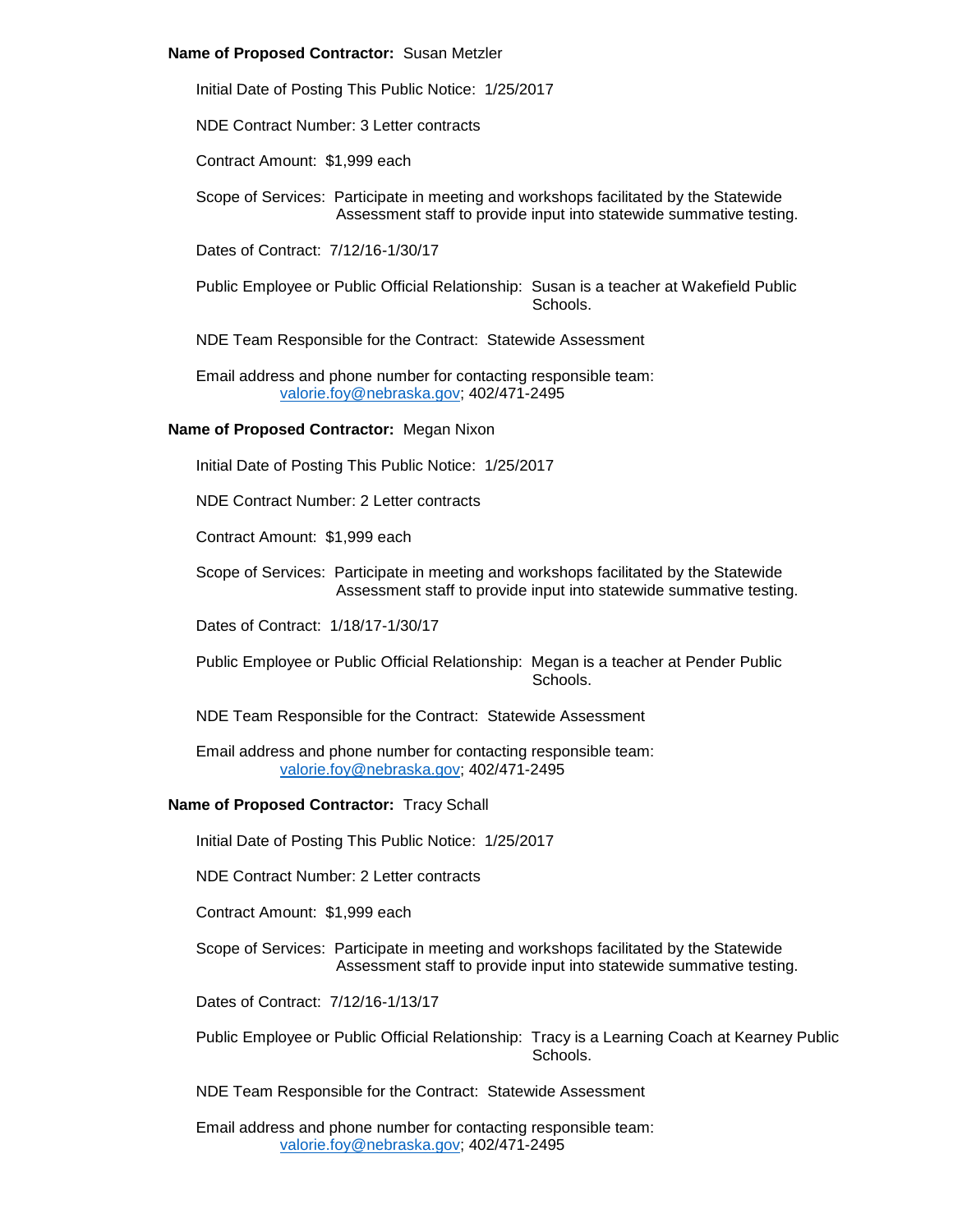#### **Name of Proposed Contractor:** Susan Metzler

Initial Date of Posting This Public Notice: 1/25/2017

NDE Contract Number: 3 Letter contracts

Contract Amount: \$1,999 each

Scope of Services: Participate in meeting and workshops facilitated by the Statewide Assessment staff to provide input into statewide summative testing.

Dates of Contract: 7/12/16-1/30/17

Public Employee or Public Official Relationship: Susan is a teacher at Wakefield Public **Schools** 

NDE Team Responsible for the Contract: Statewide Assessment

Email address and phone number for contacting responsible team: [valorie.foy@nebraska.gov;](mailto:valorie.foy@nebraska.gov) 402/471-2495

## **Name of Proposed Contractor:** Megan Nixon

Initial Date of Posting This Public Notice: 1/25/2017

NDE Contract Number: 2 Letter contracts

Contract Amount: \$1,999 each

Scope of Services: Participate in meeting and workshops facilitated by the Statewide Assessment staff to provide input into statewide summative testing.

Dates of Contract: 1/18/17-1/30/17

- Public Employee or Public Official Relationship: Megan is a teacher at Pender Public **Schools**
- NDE Team Responsible for the Contract: Statewide Assessment

Email address and phone number for contacting responsible team: [valorie.foy@nebraska.gov;](mailto:valorie.foy@nebraska.gov) 402/471-2495

#### **Name of Proposed Contractor:** Tracy Schall

Initial Date of Posting This Public Notice: 1/25/2017

NDE Contract Number: 2 Letter contracts

Contract Amount: \$1,999 each

Scope of Services: Participate in meeting and workshops facilitated by the Statewide Assessment staff to provide input into statewide summative testing.

Dates of Contract: 7/12/16-1/13/17

Public Employee or Public Official Relationship: Tracy is a Learning Coach at Kearney Public Schools.

NDE Team Responsible for the Contract: Statewide Assessment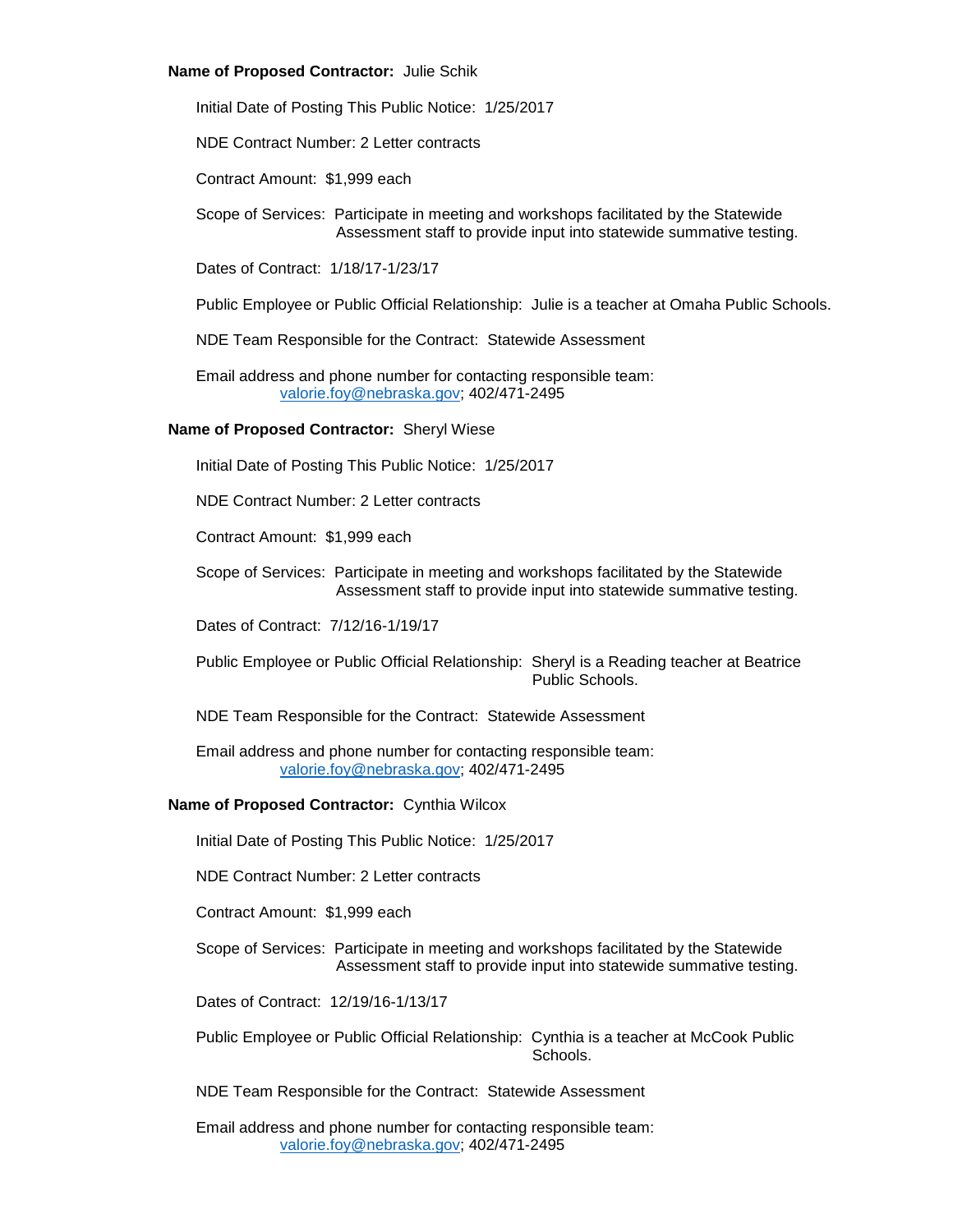#### **Name of Proposed Contractor:** Julie Schik

Initial Date of Posting This Public Notice: 1/25/2017

NDE Contract Number: 2 Letter contracts

Contract Amount: \$1,999 each

Scope of Services: Participate in meeting and workshops facilitated by the Statewide Assessment staff to provide input into statewide summative testing.

Dates of Contract: 1/18/17-1/23/17

Public Employee or Public Official Relationship: Julie is a teacher at Omaha Public Schools.

NDE Team Responsible for the Contract: Statewide Assessment

Email address and phone number for contacting responsible team: [valorie.foy@nebraska.gov;](mailto:valorie.foy@nebraska.gov) 402/471-2495

#### **Name of Proposed Contractor:** Sheryl Wiese

Initial Date of Posting This Public Notice: 1/25/2017

NDE Contract Number: 2 Letter contracts

Contract Amount: \$1,999 each

Scope of Services: Participate in meeting and workshops facilitated by the Statewide Assessment staff to provide input into statewide summative testing.

Dates of Contract: 7/12/16-1/19/17

- Public Employee or Public Official Relationship: Sheryl is a Reading teacher at Beatrice Public Schools.
- NDE Team Responsible for the Contract: Statewide Assessment

Email address and phone number for contacting responsible team: [valorie.foy@nebraska.gov;](mailto:valorie.foy@nebraska.gov) 402/471-2495

#### **Name of Proposed Contractor:** Cynthia Wilcox

Initial Date of Posting This Public Notice: 1/25/2017

NDE Contract Number: 2 Letter contracts

Contract Amount: \$1,999 each

Scope of Services: Participate in meeting and workshops facilitated by the Statewide Assessment staff to provide input into statewide summative testing.

Dates of Contract: 12/19/16-1/13/17

Public Employee or Public Official Relationship: Cynthia is a teacher at McCook Public Schools.

NDE Team Responsible for the Contract: Statewide Assessment